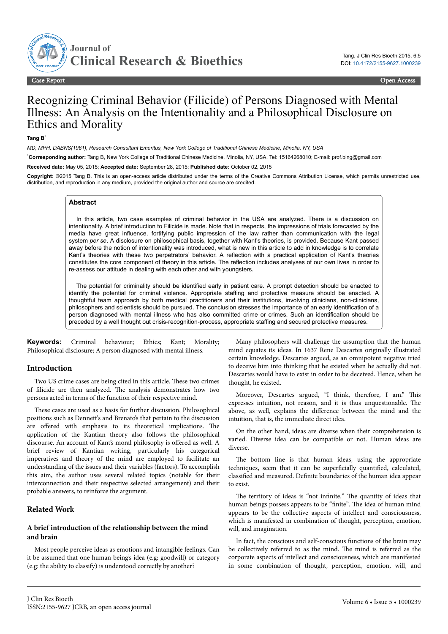

Case ReportOpen Access

# Recognizing Criminal Behavior (Filicide) of Persons Diagnosed with Mental Illness: An Analysis on the Intentionality and a Philosophical Disclosure on Ethics and Morality

#### **Tang B**\*

*MD, MPH, DABNS(1981), Research Consultant Emeritus, New York College of Traditional Chinese Medicine, Minolia, NY, USA*

\***Corresponding author:** Tang B, New York College of Traditional Chinese Medicine, Minolia, NY, USA, Tel: 15164268010; E-mail: prof.bing@gmail.com

**Received date:** May 05, 2015; **Accepted date:** September 28, 2015; **Published date:** October 02, 2015

**Copyright:** ©2015 Tang B. This is an open-access article distributed under the terms of the Creative Commons Attribution License, which permits unrestricted use, distribution, and reproduction in any medium, provided the original author and source are credited.

#### **Abstract**

In this article, two case examples of criminal behavior in the USA are analyzed. There is a discussion on intentionality. A brief introduction to Filicide is made. Note that in respects, the impressions of trials forecasted by the media have great influence, fortifying public impression of the law rather than communication with the legal system *per se*. A disclosure on philosophical basis, together with Kant's theories, is provided. Because Kant passed away before the notion of intentionality was introduced, what is new in this article to add in knowledge is to correlate Kant's theories with these two perpetrators' behavior. A reflection with a practical application of Kant's theories constitutes the core component of theory in this article. The reflection includes analyses of our own lives in order to re-assess our attitude in dealing with each other and with youngsters.

The potential for criminality should be identified early in patient care. A prompt detection should be enacted to identify the potential for criminal violence. Appropriate staffing and protective measure should be enacted. A thoughtful team approach by both medical practitioners and their institutions, involving clinicians, non-clinicians, philosophers and scientists should be pursued. The conclusion stresses the importance of an early identification of a person diagnosed with mental illness who has also committed crime or crimes. Such an identification should be preceded by a well thought out crisis-recognition-process, appropriate staffing and secured protective measures.

**Keywords:** Criminal behaviour; Ethics; Kant; Morality; Philosophical disclosure; A person diagnosed with mental illness.

#### **Introduction**

Two US crime cases are being cited in this article. Нese two crimes of filicide are then analyzed. Нe analysis demonstrates how two persons acted in terms of the function of their respective mind.

Нese cases are used as a basis for further discussion. Philosophical positions such as Dennett's and Brenato's that pertain to the discussion are offered with emphasis to its theoretical implications. The application of the Kantian theory also follows the philosophical discourse. An account of Kant's moral philosophy is offered as well. A brief review of Kantian writing, particularly his categorical imperatives and theory of the mind are employed to facilitate an understanding of the issues and their variables (factors). To accomplish this aim, the author uses several related topics (notable for their interconnection and their respective selected arrangement) and their probable answers, to reinforce the argument.

## **Related Work**

## **A brief introduction of the relationship between the mind and brain**

Most people perceive ideas as emotions and intangible feelings. Can it be assumed that one human being's idea (e.g: goodwill) or category (e.g: the ability to classify) is understood correctly by another?

Many philosophers will challenge the assumption that the human mind equates its ideas. In 1637 Rene Descartes originally illustrated certain knowledge. Descartes argued, as an omnipotent negative tried to deceive him into thinking that he existed when he actually did not. Descartes would have to exist in order to be deceived. Hence, when he thought, he existed.

Moreover, Descartes argued, "I think, therefore, I am." Нis expresses intuition, not reason, and it is thus unquestionable. Нe above, as well, explains the difference between the mind and the intuition, that is, the immediate direct idea.

On the other hand, ideas are diverse when their comprehension is varied. Diverse idea can be compatible or not. Human ideas are diverse.

The bottom line is that human ideas, using the appropriate techniques, seem that it can be superficially quantified, calculated, classified and measured. Definite boundaries of the human idea appear to exist.

The territory of ideas is "not infinite." The quantity of ideas that human beings possess appears to be "finite". Нe idea of human mind appears to be the collective aspects of intellect and consciousness, which is manifested in combination of thought, perception, emotion, will, and imagination.

In fact, the conscious and self-conscious functions of the brain may be collectively referred to as the mind. Нe mind is referred as the corporate aspects of intellect and consciousness, which are manifested in some combination of thought, perception, emotion, will, and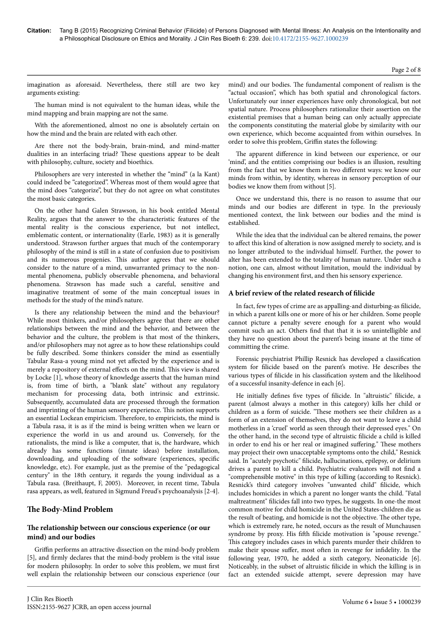#### Page 2 of 8

imagination as aforesaid. Nevertheless, there still are two key arguments existing:

The human mind is not equivalent to the human ideas, while the mind mapping and brain mapping are not the same.

With the aforementioned, almost no one is absolutely certain on how the mind and the brain are related with each other.

Are there not the body-brain, brain-mind, and mind-matter dualities in an interfacing triad? Нese questions appear to be dealt with philosophy, culture, society and bioethics.

Philosophers are very interested in whether the "mind" (a la Kant) could indeed be "categorized". Whereas most of them would agree that the mind does "categorize", but they do not agree on what constitutes the most basic categories.

On the other hand Galen Strawson, in his book entitled Mental Reality, argues that the answer to the characteristic features of the mental reality is the conscious experience, but not intellect, emblematic content, or internationality (Earle, 1983) as it is generally understood. Strawson further argues that much of the contemporary philosophy of the mind is still in a state of confusion due to positivism and its numerous progenies. Нis author agrees that we should consider to the nature of a mind, unwarranted primacy to the nonmental phenomena, publicly observable phenomena, and behavioral phenomena. Strawson has made such a careful, sensitive and imaginative treatment of some of the main conceptual issues in methods for the study of the mind's nature.

Is there any relationship between the mind and the behaviour? While most thinkers, and/or philosophers agree that there are other relationships between the mind and the behavior, and between the behavior and the culture, the problem is that most of the thinkers, and/or philosophers may not agree as to how these relationships could be fully described. Some thinkers consider the mind as essentially Tabular Rasa-a young mind not yet affected by the experience and is merely a repository of external effects on the mind. This view is shared by Locke [1], whose theory of knowledge asserts that the human mind is, from time of birth, a "blank slate" without any regulatory mechanism for processing data, both intrinsic and extrinsic. Subsequently, accumulated data are processed through the formation and imprinting of the human sensory experience. Нis notion supports an essential Lockean empiricism. Нerefore, to empiricists, the mind is a Tabula rasa, it is as if the mind is being written when we learn or experience the world in us and around us. Conversely, for the rationalists, the mind is like a computer, that is, the hardware, which already has some functions (innate ideas) before installation, downloading, and uploading of the software (experiences, specific knowledge, etc). For example, just as the premise of the "pedagogical century" in the 18th century, it regards the young individual as a Tabula rasa. (Breithaupt, F, 2005). Moreover, in recent time, Tabula rasa appears, as well, featured in Sigmund Freud's psychoanalysis [2-4].

# **Нe Body-Mind Problem**

# **Нe relationship between our conscious experience (or our mind) and our bodies**

Griffin performs an attractive dissection on the mind-body problem [5], and firmly declares that the mind-body problem is the vital issue for modern philosophy. In order to solve this problem, we must first well explain the relationship between our conscious experience (our

mind) and our bodies. Нe fundamental component of realism is the "actual occasion", which has both spatial and chronological factors. Unfortunately our inner experiences have only chronological, but not spatial nature. Process philosophers rationalize their assertion on the existential premises that a human being can only actually appreciate the components constituting the material globe by similarity with our own experience, which become acquainted from within ourselves. In order to solve this problem, Griffin states the following:

The apparent difference in kind between our experience, or our 'mind', and the entities comprising our bodies is an illusion, resulting from the fact that we know them in two different ways: we know our minds from within, by identity, whereas in sensory perception of our bodies we know them from without [5].

Once we understand this, there is no reason to assume that our minds and our bodies are different in type. In the previously mentioned context, the link between our bodies and the mind is established.

While the idea that the individual can be altered remains, the power to affect this kind of alteration is now assigned merely to society, and is no longer attributed to the individual himself. Further, the power to alter has been extended to the totality of human nature. Under such a notion, one can, almost without limitation, mould the individual by changing his environment first, and then his sensory experience.

# A brief review of the related research of filicide

In fact, few types of crime are as appalling-and disturbing-as filicide, in which a parent kills one or more of his or her children. Some people cannot picture a penalty severe enough for a parent who would commit such an act. Others find that that it is so unintelligible and they have no question about the parent's being insane at the time of committing the crime.

Forensic psychiatrist Phillip Resnick has developed a classification system for filicide based on the parent's motive. He describes the various types of filicide in his classification system and the likelihood of a successful insanity-defence in each [6].

He initially defines five types of filicide. In "altruistic" filicide, a parent (almost always a mother in this category) kills her child or children as a form of suicide. "These mothers see their children as a form of an extension of themselves, they do not want to leave a child motherless in a 'cruel' world as seen through their depressed eyes." On the other hand, in the second type of altruistic filicide a child is killed in order to end his or her real or imagined suffering." These mothers may project their own unacceptable symptoms onto the child," Resnick said. In "acutely psychotic" filicide, hallucinations, epilepsy, or delirium drives a parent to kill a child. Psychiatric evaluators will not find a "comprehensible motive" in this type of killing (according to Resnick). Resnick's third category involves "unwanted child" filicide, which includes homicides in which a parent no longer wants the child. "Fatal maltreatment" filicides fall into two types, he suggests. In one-the most common motive for child homicide in the United States-children die as the result of beating, and homicide is not the objective. Нe other type, which is extremely rare, he noted, occurs as the result of Munchausen syndrome by proxy. His fifth filicide motivation is "spouse revenge." This category includes cases in which parents murder their children to make their spouse suffer, most often in revenge for infidelity. In the following year, 1970, he added a sixth category, Neonaticide [6]. Noticeably, in the subset of altruistic filicide in which the killing is in fact an extended suicide attempt, severe depression may have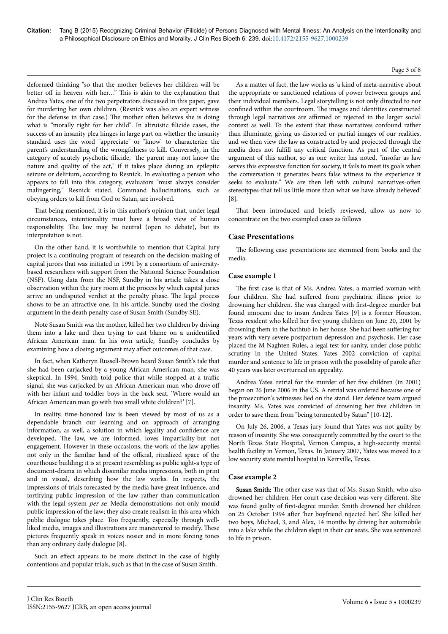# Page 3 of 8

deformed thinking "so that the mother believes her children will be better off in heaven with her..." This is akin to the explanation that Andrea Yates, one of the two perpetrators discussed in this paper, gave for murdering her own children. (Resnick was also an expert witness for the defense in that case.) The mother often believes she is doing what is "morally right for her child". In altruistic filicide cases, the success of an insanity plea hinges in large part on whether the insanity standard uses the word "appreciate" or "know" to characterize the parent's understanding of the wrongfulness to kill. Conversely, in the category of acutely psychotic filicide, "the parent may not know the nature and quality of the act," if it takes place during an epileptic seizure or delirium, according to Resnick. In evaluating a person who appears to fall into this category, evaluators "must always consider malingering," Resnick stated. Command hallucinations, such as obeying orders to kill from God or Satan, are involved.

That being mentioned, it is in this author's opinion that, under legal circumstances, intentionality must have a broad view of human responsibility. Нe law may be neutral (open to debate), but its interpretation is not.

On the other hand, it is worthwhile to mention that Capital jury project is a continuing program of research on the decision-making of capital jurors that was initiated in 1991 by a consortium of universitybased researchers with support from the National Science Foundation (NSF). Using data from the NSF, Sundby in his article takes a close observation within the jury room at the process by which capital juries arrive an undisputed verdict at the penalty phase. Нe legal process shows to be an attractive one. In his article, Sundby used the closing argument in the death penalty case of Susan Smith (Sundby SE).

Note Susan Smith was the mother, killed her two children by driving them into a lake and then trying to cast blame on a unidentified African American man. In his own article, Sundby concludes by examining how a closing argument may affect outcomes of that case.

In fact, when Katheryn Russell-Brown heard Susan Smith's tale that she had been carjacked by a young African American man, she was skeptical. In 1994, Smith told police that while stopped at a traffic signal, she was carjacked by an African American man who drove off with her infant and toddler boys in the back seat. 'Where would an African American man go with two small white children?' [7].

In reality, time-honored law is been viewed by most of us as a dependable branch our learning and on approach of arranging information, as well, a solution in which legality and confidence are developed. The law, we are informed, loves impartiality-but not engagement. However in these occasions, the work of the law applies not only in the familiar land of the official, ritualized space of the courthouse building; it is at present resembling as public sight-a type of document-drama in which dissimilar media impressions, both in print and in visual, describing how the law works. In respects, the impressions of trials forecasted by the media have great influence, and fortifying public impression of the law rather than communication with the legal system per se. Media demonstrations not only mould public impression of the law; they also create realism in this area which public dialogue takes place. Too frequently, especially through wellliked media, images and illustrations are maneuvered to modify. Нese pictures frequently speak in voices nosier and in more forcing tones than any ordinary daily dialogue [8].

Such an effect appears to be more distinct in the case of highly contentious and popular trials, such as that in the case of Susan Smith.

As a matter of fact, the law works as 'a kind of meta-narrative about the appropriate or sanctioned relations of power between groups and their individual members. Legal storytelling is not only directed to nor confined within the courtroom. Нe images and identities constructed through legal narratives are affirmed or rejected in the larger social context as well. To the extent that these narratives confound rather than illuminate, giving us distorted or partial images of our realities, and we then view the law as constructed by and projected through the media does not fulfill any critical function. As part of the central argument of this author, so as one writer has noted, "insofar as law serves this expressive function for society, it fails to meet its goals when the conversation it generates bears false witness to the experience it seeks to evaluate." We are then left with cultural narratives-often stereotypes-that tell us little more than what we have already believed' [8].

That been introduced and briefly reviewed, allow us now to concentrate on the two exampled cases as follows

# **Case Presentations**

The following case presentations are stemmed from books and the media.

## **Case example 1**

The first case is that of Ms. Andrea Yates, a married woman with four children. She had suffered from psychiatric illness prior to drowning her children. She was charged with first-degree murder but found innocent due to insan Andrea Yates [9] is a former Houston, Texas resident who killed her five young children on June 20, 2001 by drowning them in the bathtub in her house. She had been suffering for years with very severe postpartum depression and psychosis. Her case placed the M Naghten Rules, a legal test for sanity, under close public scrutiny in the United States. Yates 2002 conviction of capital murder and sentence to life in prison with the possibility of parole after 40 years was later overturned on appeality.

Andrea Yates' retrial for the murder of her five children (in 2001) began on 26 June 2006 in the US. A retrial was ordered because one of the prosecution's witnesses lied on the stand. Her defence team argued insanity. Ms. Yates was convicted of drowning her five children in order to save them from "being tormented by Satan" [10-12].

On July 26, 2006, a Texas jury found that Yates was not guilty by reason of insanity. She was consequently committed by the court to the North Texas State Hospital, Vernon Campus, a high-security mental health facility in Vernon, Texas. In January 2007, Yates was moved to a low security state mental hospital in Kerrville, Texas.

#### **Case example 2**

Susan Smith: The other case was that of Ms. Susan Smith, who also drowned her children. Her court case decision was very different. She was found guilty of first-degree murder. Smith drowned her children on 25 October 1994 after 'her boyfriend rejected her'. She killed her two boys, Michael, 3, and Alex, 14 months by driving her automobile into a lake while the children slept in their car seats. She was sentenced to life in prison.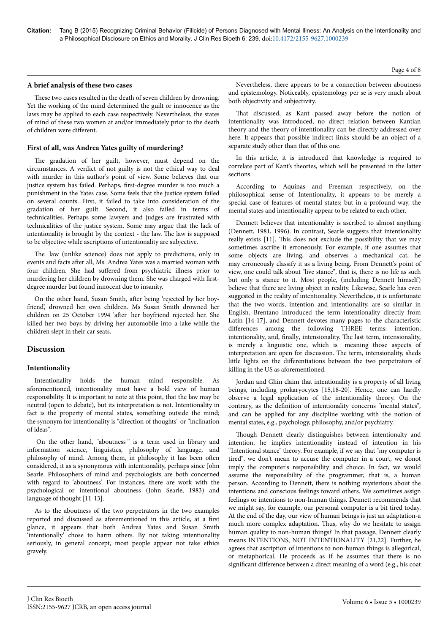#### **A brief analysis of these two cases**

These two cases resulted in the death of seven children by drowning. Yet the working of the mind determined the guilt or innocence as the laws may be applied to each case respectively. Nevertheless, the states of mind of these two women at and/or immediately prior to the death of children were different.

#### **First of all, was Andrea Yates guilty of murdering?**

The gradation of her guilt, however, must depend on the circumstances. A verdict of not guilty is not the ethical way to deal with murder in this author's point of view. Some believes that our justice system has failed. Perhaps, first-degree murder is too much a punishment in the Yates case. Some feels that the justice system failed on several counts. First, it failed to take into consideration of the gradation of her guilt. Second, it also failed in terms of technicalities. Perhaps some lawyers and judges are frustrated with technicalities of the justice system. Some may argue that the lack of intentionality is brought by the context - the law. Нe law is supposed to be objective while ascriptions of intentionality are subjective.

The law (unlike science) does not apply to predictions, only in events and facts after all, Ms. Andrea Yates was a married woman with four children. She had suffered from psychiatric illness prior to murdering her children by drowning them. She was charged with firstdegree murder but found innocent due to insanity.

On the other hand, Susan Smith, after being 'rejected by her boyfriend', drowned her own children. Ms Susan Smith drowned her children on 25 October 1994 'after her boyfriend rejected her. She killed her two boys by driving her automobile into a lake while the children slept in their car seats.

# **Discussion**

#### **Intentionality**

Intentionality holds the human mind responsible. As aforementioned, intentionality must have a bold view of human responsibility. It is important to note at this point, that the law may be neutral (open to debate), but its interpretation is not. Intentionality in fact is the property of mental states, something outside the mind; the synonym for intentionality is "direction of thoughts'' or ''inclination of ideas''.

On the other hand, ''aboutness '' is a term used in library and information science, linguistics, philosophy of language, and philosophy of mind. Among them, in philosophy it has been often considered, it as a synonymous with intentionality, perhaps since John Searle. Philosophers of mind and psychologists are both concerned with regard to 'aboutness'. For instances, there are work with the psychological or intentional aboutness (John Searle, 1983) and language of thought [11-13].

As to the aboutness of the two perpetrators in the two examples reported and discussed as aforementioned in this article, at a first glance, it appears that both Andrea Yates and Susan Smith 'intentionally' chose to harm others. By not taking intentionality seriously, in general concept, most people appear not take ethics gravely.

Nevertheless, there appears to be a connection between aboutness and epistemology. Noticeably, epistemology per se is very much about both objectivity and subjectivity.

That discussed, as Kant passed away before the notion of intentionality was introduced, no direct relation between Kantian theory and the theory of intentionality can be directly addressed over here. It appears that possible indirect links should be an object of a separate study other than that of this one.

In this article, it is introduced that knowledge is required to correlate part of Kant's theories, which will be presented in the latter sections.

According to Aquinas and Freeman respectively, on the philosophical sense of Intentionality, it appears to be merely a special case of features of mental states; but in a profound way, the mental states and intentionality appear to be related to each other.

Dennett believes that intentionality is ascribed to almost anything (Dennett, 1981, 1996). In contrast, Searle suggests that intentionality really exists [11]. Нis does not exclude the possibility that we may sometimes ascribe it erroneously. For example, if one assumes that some objects are living, and observes a mechanical cat, he may erroneously classify it as a living being. From Dennett's point of view, one could talk about "live stance", that is, there is no life as such but only a stance to it. Most people, (including Dennett himself) believe that there are living object in reality. Likewise, Searle has even suggested in the reality of intentionality. Nevertheless, it is unfortunate that the two words, intention and intentionality, are so similar in English. Brentano introduced the term intentionality directly from Latin [14-17], and Dennett devotes many pages to the characteristic differences among the following THREE terms: intention, intentionality, and, finally, intensionality. Нe last term, intensionality, is merely a linguistic one, which is meaning those aspects of interpretation are open for discussion. Нe term, intensionality, sheds little lights on the differentiations between the two perpetrators of killing in the US as aforementioned.

Jordan and Ghin claim that intentionality is a property of all living beings, including prokaryocytes [15,18-20]. Hence, one can hardly observe a legal application of the intentionality theory. On the contrary, as the definition of intentionality concerns "mental states", and can be applied for any discipline working with the notion of mental states, e.g., psychology, philosophy, and/or psychiatry.

Нough Dennett clearly distinguishes between intentionalty and intention, he implies intentionality instead of intention in his "Intentional stance" theory. For example, if we say that "my computer is tired", we don't mean to accuse the computer in a court, we donot imply the computer's responsibility and choice. In fact, we would assume the responsibility of the programmer, that is, a human person. According to Dennett, there is nothing mysterious about the intentions and conscious feelings toward others. We sometimes assign feelings or intentions to non-human things. Dennett recommends that we might say, for example, our personal computer is a bit tired today. At the end of the day, our view of human beings is just an adaptation-a much more complex adaptation. Нus, why do we hesitate to assign human quality to non-human things? In that passage, Dennett clearly means INTENTIONS, NOT INTENTIONALITY [21,22]. Further, he agrees that ascription of intentions to non-human things is allegorical, or metaphorical. He proceeds as if he assumes that there is no significant difference between a direct meaning of a word (e.g., his coat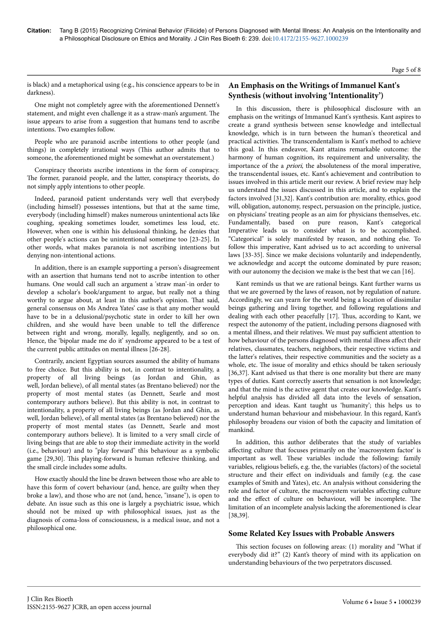#### Page 5 of 8

is black) and a metaphorical using (e.g., his conscience appears to be in darkness).

One might not completely agree with the aforementioned Dennett's statement, and might even challenge it as a straw-man's argument. Нe issue appears to arise from a suggestion that humans tend to ascribe intentions. Two examples follow.

People who are paranoid ascribe intentions to other people (and things) in completely irrational ways (This author admits that to someone, the aforementioned might be somewhat an overstatement.)

Conspiracy theorists ascribe intentions in the form of conspiracy. The former, paranoid people, and the latter, conspiracy theorists, do not simply apply intentions to other people.

Indeed, paranoid patient understands very well that everybody (including himself) possesses intentions, but that at the same time, everybody (including himself) makes numerous unintentional acts like coughing, speaking sometimes louder, sometimes less loud, etc. However, when one is within his delusional thinking, he denies that other people's actions can be unintentional sometime too [23-25]. In other words, what makes paranoia is not ascribing intentions but denying non-intentional actions.

In addition, there is an example supporting a person's disagreement with an assertion that humans tend not to ascribe intention to other humans. One would call such an argument a 'straw man'-in order to develop a scholar's book/argument to argue, but really not a thing worthy to argue about, at least in this author's opinion. Нat said, general consensus on Ms Andrea Yates' case is that any mother would have to be in a delusional/psychotic state in order to kill her own children, and she would have been unable to tell the difference between right and wrong, morally, legally, negligently, and so on. Hence, the 'bipolar made me do it' syndrome appeared to be a test of the current public attitudes on mental illness [26-28].

Contrarily, ancient Egyptian sources assumed the ability of humans to free choice. But this ability is not, in contrast to intentionality, a property of all living beings (as Jordan and Ghin, as well, Jordan believe), of all mental states (as Brentano believed) nor the property of most mental states (as Dennett, Searle and most contemporary authors believe). But this ability is not, in contrast to intentionality, a property of all living beings (as Jordan and Ghin, as well, Jordan believe), of all mental states (as Brentano believed) nor the property of most mental states (as Dennett, Searle and most contemporary authors believe). It is limited to a very small circle of living beings that are able to stop their immediate activity in the world (i.e., behaviour) and to "play forward" this behaviour as a symbolic game [29,30]. Нis playing-forward is human reflexive thinking, and the small circle includes some adults.

How exactly should the line be drawn between those who are able to have this form of covert behaviour (and, hence, are guilty when they broke a law), and those who are not (and, hence, "insane"), is open to debate. An issue such as this one is largely a psychiatric issue, which should not be mixed up with philosophical issues, just as the diagnosis of coma-loss of consciousness, is a medical issue, and not a philosophical one.

# **An Emphasis on the Writings of Immanuel Kant's Synthesis (without involving 'Intentionality')**

In this discussion, there is philosophical disclosure with an emphasis on the writings of Immanuel Kant's synthesis. Kant aspires to create a grand synthesis between sense knowledge and intellectual knowledge, which is in turn between the human's theoretical and practical activities. Нe transcendentalism is Kant's method to achieve this goal. In this endeavor, Kant attains remarkable outcome: the harmony of human cognition, its requirement and universality, the importance of the a priori, the absoluteness of the moral imperative, the transcendental issues, etc. Kant's achievement and contribution to issues involved in this article merit our review. A brief review may help us understand the issues discussed in this article, and to explain the factors involved [31,32]. Kant's contribution are: morality, ethics, good will, obligation, autonomy, respect, persuasion on the principle, justice, on physicians' treating people as an aim for physicians themselves, etc. Fundamentally, based on pure reason, Kant's categorical Imperative leads us to consider what is to be accomplished. "Categorical" is solely manifested by reason, and nothing else. To follow this imperative, Kant advised us to act according to universal laws [33-35]. Since we make decisions voluntarily and independently, we acknowledge and accept the outcome dominated by pure reason; with our autonomy the decision we make is the best that we can [16].

Kant reminds us that we are rational beings. Kant further warns us that we are governed by the laws of reason, not by regulation of nature. Accordingly, we can yearn for the world being a location of dissimilar beings gathering and living together, and following regulations and dealing with each other peacefully [17]. Нus, according to Kant, we respect the autonomy of the patient, including persons diagnosed with a mental illness, and their relatives. We must pay sufficient attention to how behaviour of the persons diagnosed with mental illness affect their relatives, classmates, teachers, neighbors, their respective victims and the latter's relatives, their respective communities and the society as a whole, etc. Нe issue of morality and ethics should be taken seriously [36,37]. Kant advised us that there is one morality but there are many types of duties. Kant correctly asserts that sensation is not knowledge; and that the mind is the active agent that creates our knowledge. Kant's helpful analysis has divided all data into the levels of sensation, perception and ideas. Kant taught us 'humanity'; this helps us to understand human behaviour and misbehaviour. In this regard, Kant's philosophy broadens our vision of both the capacity and limitation of mankind.

In addition, this author deliberates that the study of variables affecting culture that focuses primarily on the 'macrosystem factor' is important as well. Нese variables include the following: family variables, religious beliefs, e.g. the, the variables (factors) of the societal structure and their effect on individuals and family (e.g. the case examples of Smith and Yates), etc. An analysis without considering the role and factor of culture, the macrosystem variables affecting culture and the effect of culture on behaviour, will be incomplete. The limitation of an incomplete analysis lacking the aforementioned is clear [38,39].

# **Some Related Key Issues with Probable Answers**

This section focuses on following areas: (1) morality and "What if everybody did it?" (2) Kant's theory of mind with its application on understanding behaviours of the two perpetrators discussed.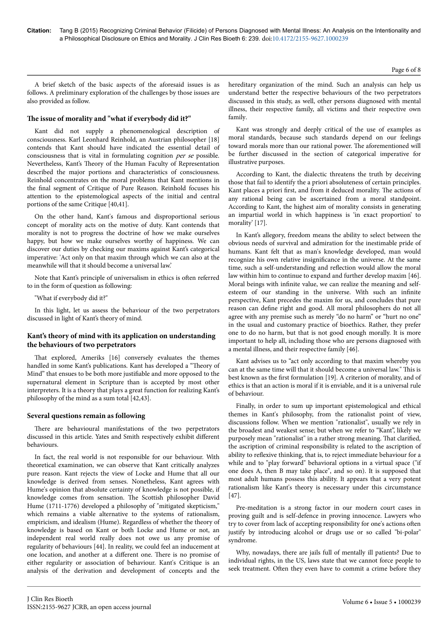Page 6 of 8

A brief sketch of the basic aspects of the aforesaid issues is as follows. A preliminary exploration of the challenges by those issues are also provided as follow.

## **Нe issue of morality and "what if everybody did it?"**

Kant did not supply a phenomenological description of consciousness. Karl Leonhard Reinhold, an Austrian philosopher [18] contends that Kant should have indicated the essential detail of consciousness that is vital in formulating cognition per se possible. Nevertheless, Kant's Нeory of the Human Faculty of Representation described the major portions and characteristics of consciousness. Reinhold concentrates on the moral problems that Kant mentions in the final segment of Critique of Pure Reason. Reinhold focuses his attention to the epistemological aspects of the initial and central portions of the same Critique [40,41].

On the other hand, Kant's famous and disproportional serious concept of morality acts on the motive of duty. Kant contends that morality is not to progress the doctrine of how we make ourselves happy, but how we make ourselves worthy of happiness. We can discover our duties by checking our maxims against Kant's categorical imperative: 'Act only on that maxim through which we can also at the meanwhile will that it should become a universal law.'

Note that Kant's principle of universalism in ethics is often referred to in the form of question as following:

"What if everybody did it?"

In this light, let us assess the behaviour of the two perpetrators discussed in light of Kant's theory of mind.

## **Kant's theory of mind with its application on understanding the behaviours of two perpetrators**

That explored, Ameriks [16] conversely evaluates the themes handled in some Kant's publications. Kant has developed a "Theory of Mind" that ensues to be both more justifiable and more opposed to the supernatural element in Scripture than is accepted by most other interpreters. It is a theory that plays a great function for realizing Kant's philosophy of the mind as a sum total [42,43].

#### **Several questions remain as following**

There are behavioural manifestations of the two perpetrators discussed in this article. Yates and Smith respectively exhibit different behaviours.

In fact, the real world is not responsible for our behaviour. With theoretical examination, we can observe that Kant critically analyzes pure reason. Kant rejects the view of Locke and Hume that all our knowledge is derived from senses. Nonetheless, Kant agrees with Hume's opinion that absolute certainty of knowledge is not possible, if knowledge comes from sensation. Нe Scottish philosopher David Hume (1711-1776) developed a philosophy of "mitigated skepticism," which remains a viable alternative to the systems of rationalism, empiricism, and idealism (Hume). Regardless of whether the theory of knowledge is based on Kant or both Locke and Hume or not, an independent real world really does not owe us any promise of regularity of behaviours [44]. In reality, we could feel an inducement at one location, and another at a different one. There is no promise of either regularity or association of behaviour. Kant's Critique is an analysis of the derivation and development of concepts and the

hereditary organization of the mind. Such an analysis can help us understand better the respective behaviours of the two perpetrators discussed in this study, as well, other persons diagnosed with mental illness, their respective family, all victims and their respective own family.

Kant was strongly and deeply critical of the use of examples as moral standards, because such standards depend on our feelings toward morals more than our rational power. Нe aforementioned will be further discussed in the section of categorical imperative for illustrative purposes.

According to Kant, the dialectic threatens the truth by deceiving those that fail to identify the a priori absoluteness of certain principles. Kant places a priori first, and from it deduced morality. Нe actions of any rational being can be ascertained from a moral standpoint. According to Kant, the highest aim of morality consists in generating an impartial world in which happiness is 'in exact proportion' to morality' [17].

In Kant's allegory, freedom means the ability to select between the obvious needs of survival and admiration for the inestimable pride of humans. Kant felt that as man's knowledge developed, man would recognize his own relative insignificance in the universe. At the same time, such a self-understanding and reflection would allow the moral law within him to continue to expand and further develop maxim [46]. Moral beings with infinite value, we can realize the meaning and selfesteem of our standing in the universe. With such an infinite perspective, Kant precedes the maxim for us, and concludes that pure reason can define right and good. All moral philosophers do not all agree with any premise such as merely "do no harm" or "hurt no one" in the usual and customary practice of bioethics. Rather, they prefer one to do no harm, but that is not good enough morally. It is more important to help all, including those who are persons diagnosed with a mental illness, and their respective family [46].

Kant advises us to "act only according to that maxim whereby you can at the same time will that it should become a universal law." Нis is best known as the first formulation [19]. A criterion of morality, and of ethics is that an action is moral if it is enviable, and it is a universal rule of behaviour.

Finally, in order to sum up important epistemological and ethical themes in Kant's philosophy, from the rationalist point of view, discussions follow. When we mention "rationalist", usually we rely in the broadest and weakest sense; but when we refer to "Kant", likely we purposely mean "rationalist" in a rather strong meaning. Нat clarified, the ascription of criminal responsibility is related to the ascription of ability to reflexive thinking, that is, to reject immediate behaviour for a while and to "play forward" behavioral options in a virtual space ("if one does A, then B may take place", and so on). It is supposed that most adult humans possess this ability. It appears that a very potent rationalism like Kant's theory is necessary under this circumstance [47].

Pre-meditation is a strong factor in our modern court cases in proving guilt and is self-defence in proving innocence. Lawyers who try to cover from lack of accepting responsibility for one's actions often justify by introducing alcohol or drugs use or so called "bi-polar" syndrome.

Why, nowadays, there are jails full of mentally ill patients? Due to individual rights, in the US, laws state that we cannot force people to seek treatment. Often they even have to commit a crime before they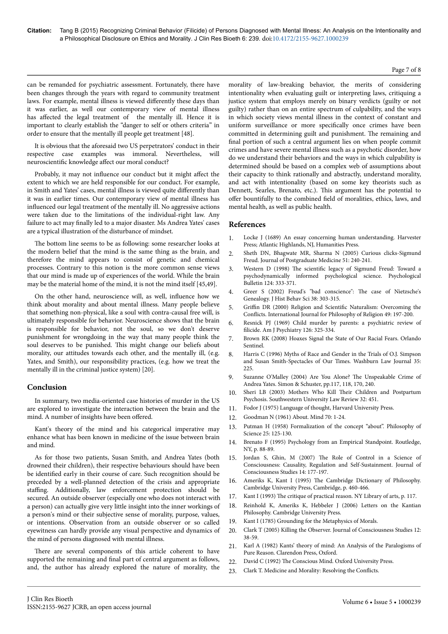#### Page 7 of 8

can be remanded for psychiatric assessment. Fortunately, there have been changes through the years with regard to community treatment laws. For example, mental illness is viewed differently these days than it was earlier, as well our contemporary view of mental illness has affected the legal treatment of the mentally ill. Hence it is important to clearly establish the "danger to self or others criteria" in order to ensure that the mentally ill people get treatment [48].

It is obvious that the aforesaid two US perpetrators' conduct in their respective case examples was immoral. Nevertheless, will neuroscientific knowledge affect our moral conduct?

Probably, it may not influence our conduct but it might affect the extent to which we are held responsible for our conduct. For example, in Smith and Yates' cases, mental illness is viewed quite differently than it was in earlier times. Our contemporary view of mental illness has influenced our legal treatment of the mentally ill. No aggressive actions were taken due to the limitations of the individual-right law. Any failure to act may finally led to a major disaster. Ms Andrea Yates' cases are a typical illustration of the disturbance of mindset.

The bottom line seems to be as following: some researcher looks at the modern belief that the mind is the same thing as the brain, and therefore the mind appears to consist of genetic and chemical processes. Contrary to this notion is the more common sense views that our mind is made up of experiences of the world. While the brain may be the material home of the mind, it is not the mind itself [45,49].

On the other hand, neuroscience will, as well, influence how we think about morality and about mental illness. Many people believe that something non-physical, like a soul with contra-causal free will, is ultimately responsible for behavior. Neuroscience shows that the brain is responsible for behavior, not the soul, so we don't deserve punishment for wrongdoing in the way that many people think the soul deserves to be punished. Нis might change our beliefs about morality, our attitudes towards each other, and the mentally ill, (e.g. Yates, and Smith), our responsibility practices, (e.g. how we treat the mentally ill in the criminal justice system) [20].

# **Conclusion**

In summary, two media-oriented case histories of murder in the US are explored to investigate the interaction between the brain and the mind. A number of insights have been offered.

Kant's theory of the mind and his categorical imperative may enhance what has been known in medicine of the issue between brain and mind.

As for those two patients, Susan Smith, and Andrea Yates (both drowned their children), their respective behaviours should have been be identified early in their course of care. Such recognition should be preceded by a well-planned detection of the crisis and appropriate staffing. Additionally, law enforcement protection should be secured. An outside observer (especially one who does not interact with a person) can actually give very little insight into the inner workings of a person's mind or their subjective sense of morality, purpose, values, or intentions. Observation from an outside observer or so called eyewitness can hardly provide any visual perspective and dynamics of the mind of persons diagnosed with mental illness.

There are several components of this article coherent to have supported the remaining and final part of central argument as follows, and, the author has already explored the nature of morality, the morality of law-breaking behavior, the merits of considering intentionality when evaluating guilt or interpreting laws, critiquing a justice system that employs merely on binary verdicts (guilty or not guilty) rather than on an entire spectrum of culpability, and the ways in which society views mental illness in the context of constant and uniform surveillance or more specifically once crimes have been committed in determining guilt and punishment. Нe remaining and final portion of such a central argument lies on when people commit crimes and have severe mental illness such as a psychotic disorder, how do we understand their behaviors and the ways in which culpability is determined should be based on a complex web of assumptions about their capacity to think rationally and abstractly, understand morality, and act with intentionality (based on some key theorists such as Dennett, Searles, Brenato, etc.). Нis argument has the potential to offer bountifully to the combined field of moralities, ethics, laws, and mental health, as well as public health.

## **References**

- 1. [Locke J \(1689\) An essay concerning human understanding. Harvester](http://oll.libertyfund.org/titles/761) [Press; Atlantic Highlands, NJ, Humanities Press.](http://oll.libertyfund.org/titles/761)
- 2. [Sheth DN, Bhagwate MR, Sharma N \(2005\) Curious clicks-Sigmund](http://www.ncbi.nlm.nih.gov/pubmed/16333207) [Freud. Journal of Postgraduate Medicine 51: 240-241.](http://www.ncbi.nlm.nih.gov/pubmed/16333207)
- 3. Western D (1998) Нe scientific [legacy of Sigmund Freud: Toward a](https://www.google.co.in/url?sa=t&rct=j&q=&esrc=s&source=web&cd=1&ved=0CB0QFjAAahUKEwjWlYjut5zIAhUOxY4KHSG6BxQ&url=http%3A%2F%2Fwww.mmpi-info.com%2Fblog%2Fwp-content%2Fuploads%2F2012%2F03%2FWestens-article-on-Freud-and-Science1.pdf&usg=AFQjCNGV31F8kKdLe390Dbn8z0uittOHPg&cad=rja) [psychodynamically informed psychological science. Psychological](https://www.google.co.in/url?sa=t&rct=j&q=&esrc=s&source=web&cd=1&ved=0CB0QFjAAahUKEwjWlYjut5zIAhUOxY4KHSG6BxQ&url=http%3A%2F%2Fwww.mmpi-info.com%2Fblog%2Fwp-content%2Fuploads%2F2012%2F03%2FWestens-article-on-Freud-and-Science1.pdf&usg=AFQjCNGV31F8kKdLe390Dbn8z0uittOHPg&cad=rja) [Bulletin 124: 333-371.](https://www.google.co.in/url?sa=t&rct=j&q=&esrc=s&source=web&cd=1&ved=0CB0QFjAAahUKEwjWlYjut5zIAhUOxY4KHSG6BxQ&url=http%3A%2F%2Fwww.mmpi-info.com%2Fblog%2Fwp-content%2Fuploads%2F2012%2F03%2FWestens-article-on-Freud-and-Science1.pdf&usg=AFQjCNGV31F8kKdLe390Dbn8z0uittOHPg&cad=rja)
- 4. [Greer S \(2002\) Freud's "bad conscience":](http://www.ncbi.nlm.nih.gov/pubmed/12115789) Нe case of Nietzsche's [Genealogy. J Hist Behav Sci 38: 303-315.](http://www.ncbi.nlm.nih.gov/pubmed/12115789)
- 5. Griffin DR (2000) Religion and Scientific [Naturalism: Overcoming the](http://www.jstor.org/stable/40018875?seq=1) Conflicts. [International Journal for Philosophy of Religion 49: 197-200.](http://www.jstor.org/stable/40018875?seq=1)
- 6. [Resnick PJ \(1969\) Child murder by parents: a psychiatric review of](http://www.ncbi.nlm.nih.gov/pubmed/5801251) filicide. [Am J Psychiatry 126: 325-334.](http://www.ncbi.nlm.nih.gov/pubmed/5801251)
- 7. [Brown RK \(2008\) Hoaxes Signal the State of Our Racial Fears. Orlando](http://www.theopedproject.org/index.php?option=com_content&view=article&id=86:hoaxes-signal-the-state-of-our-racial-fears&catid=38:successes&Itemid=86) [Sentinel.](http://www.theopedproject.org/index.php?option=com_content&view=article&id=86:hoaxes-signal-the-state-of-our-racial-fears&catid=38:successes&Itemid=86)
- 8. [Harris C \(1996\) Myths of Race and Gender in the Trials of O.J. Simpson](https://litigation-essentials.lexisnexis.com/webcd/app?action=DocumentDisplay&crawlid=1&doctype=cite&docid=35+Washburn+L.J.+225&srctype=smi&srcid=3B15&key=0836741ba4d5aa7b18a0a0cd8f3f1b9d) [and Susan Smith-Spectacles of Our Times. Washburn Law Journal 35:](https://litigation-essentials.lexisnexis.com/webcd/app?action=DocumentDisplay&crawlid=1&doctype=cite&docid=35+Washburn+L.J.+225&srctype=smi&srcid=3B15&key=0836741ba4d5aa7b18a0a0cd8f3f1b9d) [225.](https://litigation-essentials.lexisnexis.com/webcd/app?action=DocumentDisplay&crawlid=1&doctype=cite&docid=35+Washburn+L.J.+225&srctype=smi&srcid=3B15&key=0836741ba4d5aa7b18a0a0cd8f3f1b9d)
- 9. Suzanne O'Malley (2004) Are You Alone? Нe Unspeakable Crime of Andrea Yates. Simon & Schuster, pp.117, 118, 170, 240.
- 10. [Sheri LB \(2003\) Mothers Who Kill](https://litigation-essentials.lexisnexis.com/webcd/app?action=DocumentDisplay&crawlid=1&srctype=smi&srcid=3B15&doctype=cite&docid=32+Sw.+U.+L.+Rev.+451&key=f7d0cca4f9f26ffb534aeec666a93fa9) Нeir Children and Postpartum [Psychosis. Southwestern University Law Review 32: 451.](https://litigation-essentials.lexisnexis.com/webcd/app?action=DocumentDisplay&crawlid=1&srctype=smi&srcid=3B15&doctype=cite&docid=32+Sw.+U.+L.+Rev.+451&key=f7d0cca4f9f26ffb534aeec666a93fa9)
- 11. [Fodor J \(1975\) Language of thought, Harvard University Press.](https://books.google.co.in/books?id=XZwGLBYLbg4C&redir_esc=y)
- 12. [Goodman N \(1961\) About. Mind 70: 1-24.](http://mind.oxfordjournals.org/content/LXX/277/1.full.pdf+html)
- 13. [Putman H \(1958\) Formalization of the concept "about". Philosophy of](http://www.jstor.org/stable/185434?seq=1) [Science 25: 125-130.](http://www.jstor.org/stable/185434?seq=1)
- 14. [Brenato F \(1995\) Psychology from an Empirical Standpoint. Routledge,](https://books.google.co.in/books?hl=en&lr=&id=fimDBAAAQBAJ&oi=fnd&pg=PP1&dq=Psychology+from+an+Empirical+Standpoint&ots=zhXVisg3Sx&sig=9Dvbohga8xm5CUL7wfpuAjlCgCs) [NY, p. 88-89.](https://books.google.co.in/books?hl=en&lr=&id=fimDBAAAQBAJ&oi=fnd&pg=PP1&dq=Psychology+from+an+Empirical+Standpoint&ots=zhXVisg3Sx&sig=9Dvbohga8xm5CUL7wfpuAjlCgCs)
- 15. Jordan S, Ghin, M (2007) Нe [Role of Control in a Science of](http://www.ingentaconnect.com/content/imp/jcs/2007/00000014/f0020001/art00011) [Consciousness: Causality, Regulation and Self-Sustainment. Journal of](http://www.ingentaconnect.com/content/imp/jcs/2007/00000014/f0020001/art00011) [Consciousness Studies 14: 177-197.](http://www.ingentaconnect.com/content/imp/jcs/2007/00000014/f0020001/art00011)
- 16. Ameriks K, Kant I (1995) Нe Cambridge Dictionary of Philosophy. Cambridge University Press, Cambridge, p. 460-466.
- 17. Kant I (1993) The [critique of practical reason. NY Library of arts, p. 117.](http://scholar.google.co.in/scholar_url?url=http://www.naturalthinker.net/trl/texts/Kant,Immanuel/9writings/Kant,%2520Immanuel%2520-%2520The%2520Critique%2520of%2520Practical%2520Reason.pdf&hl=en&sa=X&scisig=AAGBfm3Ekwqx1Bu0vQC1_vYIH4zmFWVPLA&nossl=1&oi=scholarr&ved=0CBwQgAMoADAAahUKEwimwv_OnaHIAhWFcI4KHdt9B04)
- 18. [Reinhold K, Ameriks K, Hebbeler J \(2006\) Letters on the Kantian](http://www.cambridge.org/catalogue/catalogue.asp?isbn=9780521830232) [Philosophy. Cambridge University Press.](http://www.cambridge.org/catalogue/catalogue.asp?isbn=9780521830232)
- 19. [Kant I \(1785\) Grounding for the Metaphysics of Morals.](https://www.google.co.in/url?sa=t&rct=j&q=&esrc=s&source=web&cd=8&ved=0CEYQFjAHahUKEwig3vK0sZzIAhUDSY4KHQh1C1w&url=http%3A%2F%2Fwww.earlymoderntexts.com%2Fassets%2Fpdfs%2Fkant1785.pdf&usg=AFQjCNE0uogHpOMEij-iCaLB33_jKSfqyA&cad=rja)
- 20. [Clark T \(2005\) Killing the Observer. Journal of Consciousness Studies 12:](http://www.ingentaconnect.com/search/article?option1=tka&value1=Killing+the+Observer&sortDescending=true&sortField=default&pageSize=10&index=1) [38-59.](http://www.ingentaconnect.com/search/article?option1=tka&value1=Killing+the+Observer&sortDescending=true&sortField=default&pageSize=10&index=1)
- 21. [Karl A \(1982\) Kants' theory of mind: An Analysis of the Paralogisms of](https://global.oup.com/academic/product/kants-theory-of-mind-9780198238966?cc=in&lang=en&) [Pure Reason. Clarendon Press, Oxford.](https://global.oup.com/academic/product/kants-theory-of-mind-9780198238966?cc=in&lang=en&)
- 22. David C (1992) The [Conscious Mind. Oxford University Press.](http://www.oupcanada.com/catalog/9780195117899.html)
- 23. Clark T. Medicine and Morality: Resolving the Conflicts.